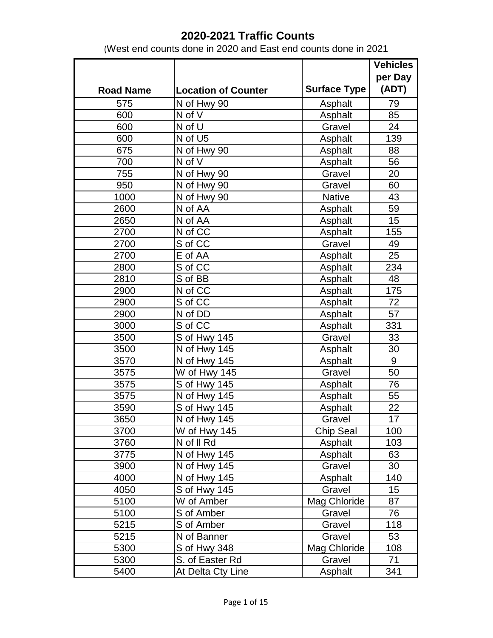|                  |                            |                     | <b>Vehicles</b> |
|------------------|----------------------------|---------------------|-----------------|
|                  |                            |                     | per Day         |
| <b>Road Name</b> | <b>Location of Counter</b> | <b>Surface Type</b> | (ADT)           |
| 575              | N of Hwy 90                | Asphalt             | 79              |
| 600              | N of V                     | Asphalt             | 85              |
| 600              | N of U                     | Gravel              | 24              |
| 600              | $\overline{N}$ of U5       | Asphalt             | 139             |
| 675              | N of Hwy 90                | Asphalt             | 88              |
| 700              | N of V                     | Asphalt             | 56              |
| 755              | N of Hwy 90                | Gravel              | 20              |
| 950              | N of Hwy 90                | Gravel              | 60              |
| 1000             | N of Hwy 90                | <b>Native</b>       | 43              |
| 2600             | N of AA                    | Asphalt             | 59              |
| 2650             | N of AA                    | Asphalt             | 15              |
| 2700             | N of CC                    | Asphalt             | 155             |
| 2700             | S of CC                    | Gravel              | 49              |
| 2700             | E of AA                    | Asphalt             | 25              |
| 2800             | S of CC                    | Asphalt             | 234             |
| 2810             | S of BB                    | Asphalt             | 48              |
| 2900             | N of CC                    | Asphalt             | 175             |
| 2900             | S of CC                    | Asphalt             | 72              |
| 2900             | N of DD                    | Asphalt             | 57              |
| 3000             | S of CC                    | Asphalt             | 331             |
| 3500             | S of Hwy 145               | Gravel              | 33              |
| 3500             | N of Hwy 145               | Asphalt             | 30              |
| 3570             | N of Hwy 145               | Asphalt             | 9               |
| 3575             | W of Hwy 145               | Gravel              | 50              |
| 3575             | S of Hwy 145               | Asphalt             | 76              |
| 3575             | N of Hwy 145               | Asphalt             | 55              |
| 3590             | S of Hwy 145               | Asphalt             | 22              |
| 3650             | $\overline{N}$ of Hwy 145  | Gravel              | 17              |
| 3700             | W of Hwy 145               | Chip Seal           | 100             |
| 3760             | N of II Rd                 | Asphalt             | 103             |
| 3775             | N of Hwy 145               | Asphalt             | 63              |
| 3900             | N of Hwy 145               | Gravel              | 30              |
| 4000             | N of Hwy 145               | Asphalt             | 140             |
| 4050             | S of Hwy 145               | Gravel              | 15              |
| 5100             | W of Amber                 | Mag Chloride        | 87              |
| 5100             | S of Amber                 | Gravel              | 76              |
| 5215             | S of Amber                 | Gravel              | 118             |
| 5215             | N of Banner                | Gravel              | 53              |
| 5300             | S of Hwy 348               | Mag Chloride        | 108             |
| 5300             | S. of Easter Rd            | Gravel              | 71              |
| 5400             | At Delta Cty Line          | Asphalt             | 341             |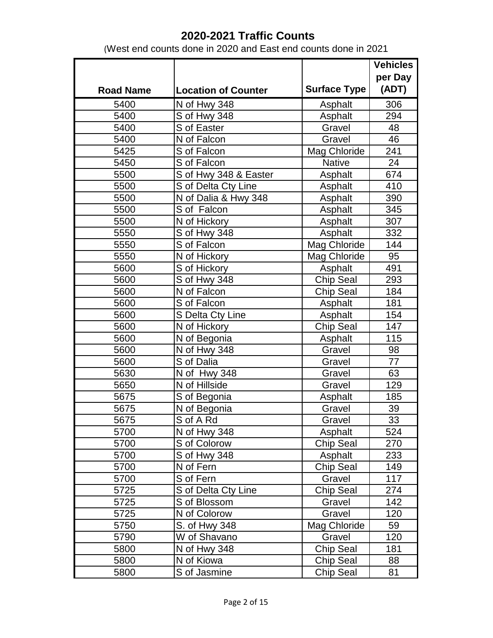|                  |                            |                     | <b>Vehicles</b> |
|------------------|----------------------------|---------------------|-----------------|
|                  |                            |                     | per Day         |
| <b>Road Name</b> | <b>Location of Counter</b> | <b>Surface Type</b> | (ADT)           |
| 5400             | N of Hwy 348               | Asphalt             | 306             |
| 5400             | S of Hwy 348               | Asphalt             | 294             |
| 5400             | S of Easter                | Gravel              | 48              |
| 5400             | N of Falcon                | Gravel              | 46              |
| 5425             | S of Falcon                | Mag Chloride        | 241             |
| 5450             | S of Falcon                | <b>Native</b>       | 24              |
| 5500             | S of Hwy 348 & Easter      | Asphalt             | 674             |
| 5500             | S of Delta Cty Line        | Asphalt             | 410             |
| 5500             | N of Dalia & Hwy 348       | Asphalt             | 390             |
| 5500             | S of Falcon                | Asphalt             | 345             |
| 5500             | N of Hickory               | Asphalt             | 307             |
| 5550             | S of Hwy 348               | Asphalt             | 332             |
| 5550             | S of Falcon                | Mag Chloride        | 144             |
| 5550             | N of Hickory               | Mag Chloride        | 95              |
| 5600             | S of Hickory               | Asphalt             | 491             |
| 5600             | S of Hwy 348               | <b>Chip Seal</b>    | 293             |
| 5600             | N of Falcon                | <b>Chip Seal</b>    | 184             |
| 5600             | S of Falcon                | Asphalt             | 181             |
| 5600             | S Delta Cty Line           | Asphalt             | 154             |
| 5600             | N of Hickory               | Chip Seal           | 147             |
| 5600             | N of Begonia               | Asphalt             | 115             |
| 5600             | N of Hwy 348               | Gravel              | 98              |
| 5600             | S of Dalia                 | Gravel              | 77              |
| 5630             | N of Hwy 348               | Gravel              | 63              |
| 5650             | N of Hillside              | Gravel              | 129             |
| 5675             | S of Begonia               | Asphalt             | 185             |
| 5675             | N of Begonia               | Gravel              | 39              |
| 5675             | S of A Rd                  | Gravel              | 33              |
| 5700             | N of Hwy 348               | Asphalt             | 524             |
| 5700             | S of Colorow               | Chip Seal           | 270             |
| 5700             | S of Hwy 348               | Asphalt             | 233             |
| 5700             | N of Fern                  | Chip Seal           | 149             |
| 5700             | S of Fern                  | Gravel              | 117             |
| 5725             | S of Delta Cty Line        | <b>Chip Seal</b>    | 274             |
| 5725             | S of Blossom               | Gravel              | 142             |
| 5725             | N of Colorow               | Gravel              | 120             |
| 5750             | S. of Hwy 348              | Mag Chloride        | 59              |
| 5790             | W of Shavano               | Gravel              | 120             |
| 5800             | N of Hwy 348               | Chip Seal           | 181             |
| 5800             | N of Kiowa                 | Chip Seal           | 88              |
| 5800             | S of Jasmine               | <b>Chip Seal</b>    | 81              |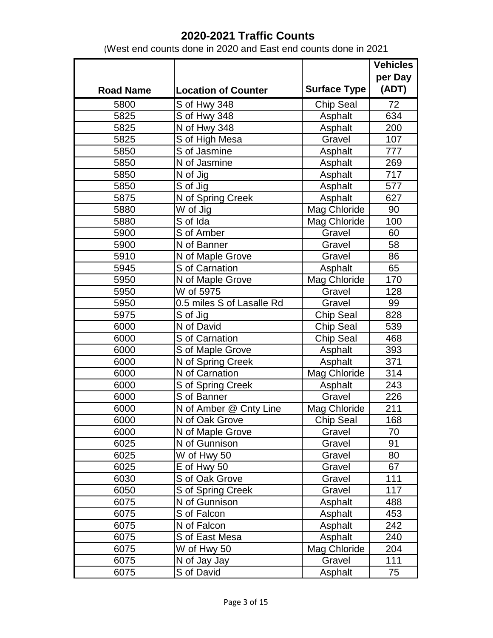|                  |                            |                     | <b>Vehicles</b> |
|------------------|----------------------------|---------------------|-----------------|
|                  |                            |                     | per Day         |
| <b>Road Name</b> | <b>Location of Counter</b> | <b>Surface Type</b> | (ADT)           |
| 5800             | S of Hwy 348               | <b>Chip Seal</b>    | 72              |
| 5825             | S of Hwy 348               | Asphalt             | 634             |
| 5825             | N of Hwy 348               | Asphalt             | 200             |
| 5825             | S of High Mesa             | Gravel              | 107             |
| 5850             | S of Jasmine               | Asphalt             | 777             |
| 5850             | N of Jasmine               | Asphalt             | 269             |
| 5850             | N of Jig                   | Asphalt             | 717             |
| 5850             | S of Jig                   | Asphalt             | 577             |
| 5875             | N of Spring Creek          | Asphalt             | 627             |
| 5880             | W of Jig                   | Mag Chloride        | 90              |
| 5880             | $\overline{S}$ of Ida      | Mag Chloride        | 100             |
| 5900             | S of Amber                 | Gravel              | 60              |
| 5900             | N of Banner                | Gravel              | 58              |
| 5910             | N of Maple Grove           | Gravel              | 86              |
| 5945             | S of Carnation             | Asphalt             | 65              |
| 5950             | N of Maple Grove           | Mag Chloride        | 170             |
| 5950             | W of 5975                  | Gravel              | 128             |
| 5950             | 0.5 miles S of Lasalle Rd  | Gravel              | 99              |
| 5975             | S of Jig                   | Chip Seal           | 828             |
| 6000             | N of David                 | Chip Seal           | 539             |
| 6000             | S of Carnation             | <b>Chip Seal</b>    | 468             |
| 6000             | S of Maple Grove           | Asphalt             | 393             |
| 6000             | N of Spring Creek          | Asphalt             | 371             |
| 6000             | N of Carnation             | Mag Chloride        | 314             |
| 6000             | S of Spring Creek          | Asphalt             | 243             |
| 6000             | S of Banner                | Gravel              | 226             |
| 6000             | N of Amber @ Cnty Line     | Mag Chloride        | 211             |
| 6000             | N of Oak Grove             | Chip Seal           | 168             |
| 6000             | N of Maple Grove           | Gravel              | 70              |
| 6025             | N of Gunnison              | Gravel              | 91              |
| 6025             | W of Hwy 50                | Gravel              | 80              |
| 6025             | E of Hwy 50                | Gravel              | 67              |
| 6030             | S of Oak Grove             | Gravel              | 111             |
| 6050             | S of Spring Creek          | Gravel              | 117             |
| 6075             | N of Gunnison              | Asphalt             | 488             |
| 6075             | S of Falcon                | Asphalt             | 453             |
| 6075             | N of Falcon                | Asphalt             | 242             |
| 6075             | S of East Mesa             | Asphalt             | 240             |
| 6075             | W of Hwy 50                | Mag Chloride        | 204             |
| 6075             | N of Jay Jay               | Gravel              | 111             |
| 6075             | S of David                 | Asphalt             | 75              |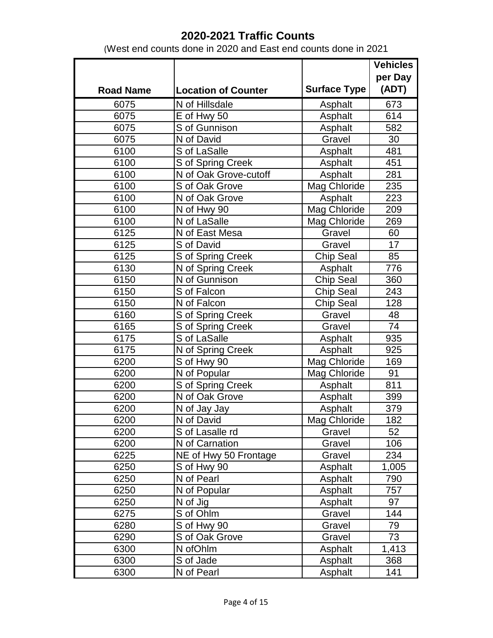|                  |                            |                     | <b>Vehicles</b> |
|------------------|----------------------------|---------------------|-----------------|
|                  |                            |                     | per Day         |
| <b>Road Name</b> | <b>Location of Counter</b> | <b>Surface Type</b> | (ADT)           |
| 6075             | N of Hillsdale             | Asphalt             | 673             |
| 6075             | E of Hwy 50                | Asphalt             | 614             |
| 6075             | S of Gunnison              | Asphalt             | 582             |
| 6075             | N of David                 | Gravel              | 30              |
| 6100             | S of LaSalle               | Asphalt             | 481             |
| 6100             | S of Spring Creek          | Asphalt             | 451             |
| 6100             | N of Oak Grove-cutoff      | Asphalt             | 281             |
| 6100             | S of Oak Grove             | Mag Chloride        | 235             |
| 6100             | N of Oak Grove             | Asphalt             | 223             |
| 6100             | N of Hwy 90                | Mag Chloride        | 209             |
| 6100             | N of LaSalle               | Mag Chloride        | 269             |
| 6125             | N of East Mesa             | Gravel              | 60              |
| 6125             | S of David                 | Gravel              | $\overline{17}$ |
| 6125             | S of Spring Creek          | <b>Chip Seal</b>    | 85              |
| 6130             | N of Spring Creek          | Asphalt             | 776             |
| 6150             | N of Gunnison              | Chip Seal           | 360             |
| 6150             | S of Falcon                | <b>Chip Seal</b>    | 243             |
| 6150             | N of Falcon                | Chip Seal           | 128             |
| 6160             | S of Spring Creek          | Gravel              | 48              |
| 6165             | S of Spring Creek          | Gravel              | 74              |
| 6175             | S of LaSalle               | Asphalt             | 935             |
| 6175             | N of Spring Creek          | Asphalt             | 925             |
| 6200             | S of Hwy 90                | <b>Mag Chloride</b> | 169             |
| 6200             | N of Popular               | Mag Chloride        | 91              |
| 6200             | S of Spring Creek          | Asphalt             | 811             |
| 6200             | N of Oak Grove             | Asphalt             | 399             |
| 6200             | N of Jay Jay               | Asphalt             | 379             |
| 6200             | N of David                 | <b>Mag Chloride</b> | 182             |
| 6200             | S of Lasalle rd            | Gravel              | 52              |
| 6200             | N of Carnation             | Gravel              | 106             |
| 6225             | NE of Hwy 50 Frontage      | Gravel              | 234             |
| 6250             | S of Hwy 90                | Asphalt             | 1,005           |
| 6250             | N of Pearl                 | Asphalt             | 790             |
| 6250             | Nof Popular                | Asphalt             | 757             |
| 6250             | N of Jig                   | Asphalt             | 97              |
| 6275             | S of Ohlm                  | Gravel              | 144             |
| 6280             | S of Hwy 90                | Gravel              | 79              |
| 6290             | S of Oak Grove             | Gravel              | 73              |
| 6300             | N of Ohlm                  | Asphalt             | 1,413           |
| 6300             | S of Jade                  | Asphalt             | 368             |
| 6300             | N of Pearl                 | Asphalt             | 141             |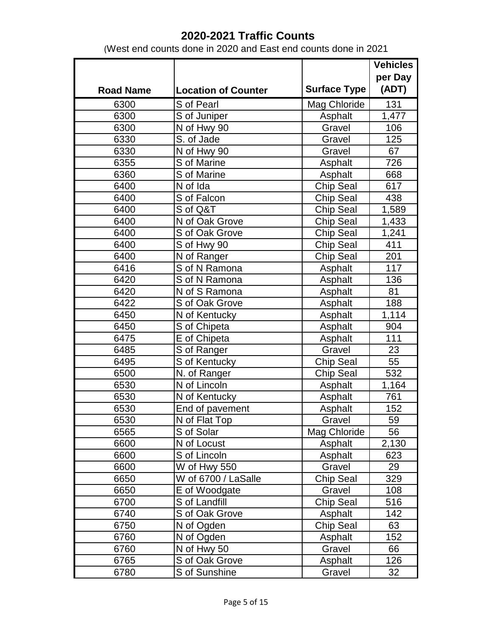|                  |                            |                     | <b>Vehicles</b> |
|------------------|----------------------------|---------------------|-----------------|
|                  |                            |                     | per Day         |
| <b>Road Name</b> | <b>Location of Counter</b> | <b>Surface Type</b> | (ADT)           |
| 6300             | S of Pearl                 | <b>Mag Chloride</b> | 131             |
| 6300             | S of Juniper               | Asphalt             | 1,477           |
| 6300             | N of Hwy 90                | Gravel              | 106             |
| 6330             | S. of Jade                 | Gravel              | 125             |
| 6330             | N of Hwy 90                | Gravel              | 67              |
| 6355             | S of Marine                | Asphalt             | 726             |
| 6360             | S of Marine                | Asphalt             | 668             |
| 6400             | N of Ida                   | Chip Seal           | 617             |
| 6400             | S of Falcon                | <b>Chip Seal</b>    | 438             |
| 6400             | S of Q&T                   | <b>Chip Seal</b>    | 1,589           |
| 6400             | N of Oak Grove             | <b>Chip Seal</b>    | 1,433           |
| 6400             | S of Oak Grove             | <b>Chip Seal</b>    | 1,241           |
| 6400             | S of Hwy 90                | <b>Chip Seal</b>    | 411             |
| 6400             | N of Ranger                | <b>Chip Seal</b>    | 201             |
| 6416             | S of N Ramona              | Asphalt             | 117             |
| 6420             | S of N Ramona              | Asphalt             | 136             |
| 6420             | N of S Ramona              | Asphalt             | 81              |
| 6422             | S of Oak Grove             | Asphalt             | 188             |
| 6450             | N of Kentucky              | Asphalt             | 1,114           |
| 6450             | S of Chipeta               | Asphalt             | 904             |
| 6475             | E of Chipeta               | Asphalt             | 111             |
| 6485             | S of Ranger                | Gravel              | 23              |
| 6495             | S of Kentucky              | <b>Chip Seal</b>    | 55              |
| 6500             | N. of Ranger               | <b>Chip Seal</b>    | 532             |
| 6530             | N of Lincoln               | Asphalt             | 1,164           |
| 6530             | N of Kentucky              | Asphalt             | 761             |
| 6530             | End of pavement            | Asphalt             | 152             |
| 6530             | N of Flat Top              | Gravel              | 59              |
| 6565             | S of Solar                 | Mag Chloride        | 56              |
| 6600             | N of Locust                | Asphalt             | 2,130           |
| 6600             | S of Lincoln               | Asphalt             | 623             |
| 6600             | W of Hwy 550               | Gravel              | 29              |
| 6650             | W of 6700 / LaSalle        | <b>Chip Seal</b>    | 329             |
| 6650             | E of Woodgate              | Gravel              | 108             |
| 6700             | S of Landfill              | <b>Chip Seal</b>    | 516             |
| 6740             | S of Oak Grove             | Asphalt             | 142             |
| 6750             | N of Ogden                 | <b>Chip Seal</b>    | 63              |
| 6760             | N of Ogden                 | Asphalt             | 152             |
| 6760             | N of Hwy 50                | Gravel              | 66              |
| 6765             | S of Oak Grove             | Asphalt             | 126             |
| 6780             | S of Sunshine              | Gravel              | 32              |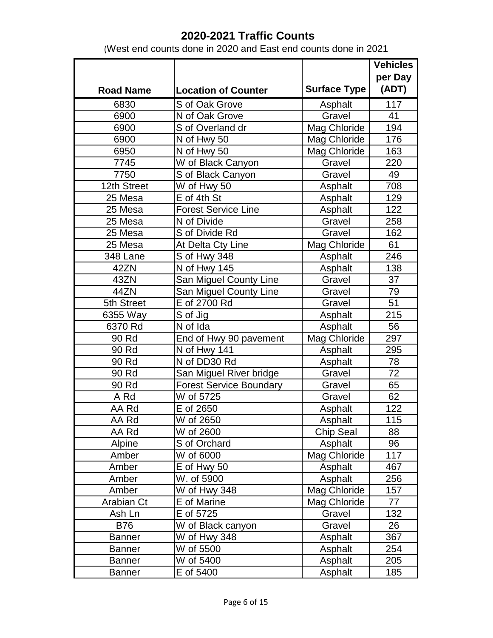|                  |                                |                     | <b>Vehicles</b> |
|------------------|--------------------------------|---------------------|-----------------|
|                  |                                |                     | per Day         |
| <b>Road Name</b> | <b>Location of Counter</b>     | <b>Surface Type</b> | (ADT)           |
| 6830             | S of Oak Grove                 | Asphalt             | 117             |
| 6900             | N of Oak Grove                 | Gravel              | 41              |
| 6900             | S of Overland dr               | Mag Chloride        | 194             |
| 6900             | N of Hwy 50                    | Mag Chloride        | 176             |
| 6950             | N of Hwy 50                    | Mag Chloride        | 163             |
| 7745             | W of Black Canyon              | Gravel              | 220             |
| 7750             | S of Black Canyon              | Gravel              | 49              |
| 12th Street      | W of Hwy 50                    | Asphalt             | 708             |
| 25 Mesa          | E of 4th St                    | Asphalt             | 129             |
| 25 Mesa          | <b>Forest Service Line</b>     | Asphalt             | 122             |
| 25 Mesa          | N of Divide                    | Gravel              | 258             |
| 25 Mesa          | S of Divide Rd                 | Gravel              | 162             |
| 25 Mesa          | At Delta Cty Line              | Mag Chloride        | 61              |
| 348 Lane         | S of Hwy 348                   | Asphalt             | 246             |
| 42ZN             | N of Hwy 145                   | Asphalt             | 138             |
| 43ZN             | San Miguel County Line         | Gravel              | 37              |
| 44ZN             | San Miguel County Line         | Gravel              | 79              |
| 5th Street       | E of 2700 Rd                   | Gravel              | 51              |
| 6355 Way         | S of Jig                       | Asphalt             | 215             |
| 6370 Rd          | N of Ida                       | Asphalt             | 56              |
| 90 Rd            | End of Hwy 90 pavement         | Mag Chloride        | 297             |
| 90 Rd            | N of Hwy 141                   | Asphalt             | 295             |
| 90 Rd            | N of DD30 Rd                   | Asphalt             | 78              |
| 90 Rd            | San Miguel River bridge        | Gravel              | 72              |
| 90 Rd            | <b>Forest Service Boundary</b> | Gravel              | 65              |
| A Rd             | W of 5725                      | Gravel              | 62              |
| AA Rd            | E of 2650                      | Asphalt             | 122             |
| AA Rd            | $\overline{W}$ of 2650         | Asphalt             | 115             |
| AA Rd            | W of 2600                      | Chip Seal           | 88              |
| Alpine           | S of Orchard                   | Asphalt             | 96              |
| Amber            | W of 6000                      | Mag Chloride        | 117             |
| Amber            | E of Hwy 50                    | Asphalt             | 467             |
| Amber            | W. of 5900                     | Asphalt             | 256             |
| Amber            | W of Hwy 348                   | Mag Chloride        | 157             |
| Arabian Ct       | E of Marine                    | Mag Chloride        | 77              |
| Ash Ln           | E of 5725                      | Gravel              | 132             |
| <b>B76</b>       | W of Black canyon              | Gravel              | 26              |
| <b>Banner</b>    | W of Hwy 348                   | Asphalt             | 367             |
| <b>Banner</b>    | W of 5500                      | Asphalt             | 254             |
| <b>Banner</b>    | W of 5400                      | Asphalt             | 205             |
| <b>Banner</b>    | E of 5400                      | Asphalt             | 185             |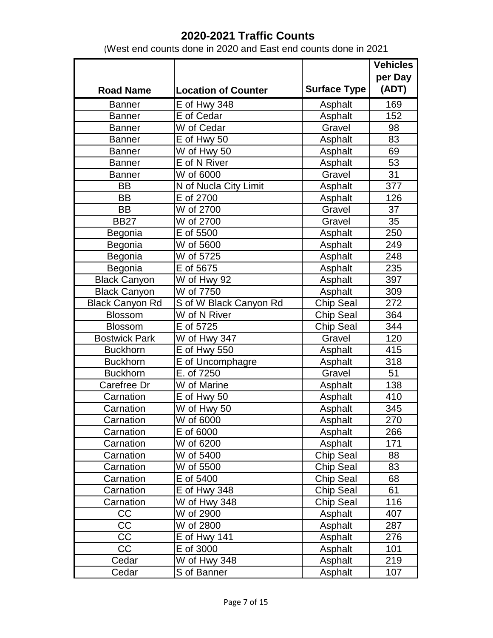|                        |                            |                     | <b>Vehicles</b>  |
|------------------------|----------------------------|---------------------|------------------|
|                        |                            |                     | per Day          |
| <b>Road Name</b>       | <b>Location of Counter</b> | <b>Surface Type</b> | (ADT)            |
| <b>Banner</b>          | E of Hwy 348               | Asphalt             | 169              |
| <b>Banner</b>          | E of Cedar                 | Asphalt             | 152              |
| <b>Banner</b>          | W of Cedar                 | Gravel              | 98               |
| <b>Banner</b>          | E of Hwy 50                | Asphalt             | 83               |
| <b>Banner</b>          | W of Hwy 50                | Asphalt             | 69               |
| <b>Banner</b>          | E of N River               | Asphalt             | 53               |
| <b>Banner</b>          | W of 6000                  | Gravel              | 31               |
| <b>BB</b>              | N of Nucla City Limit      | Asphalt             | 377              |
| <b>BB</b>              | E of 2700                  | Asphalt             | 126              |
| <b>BB</b>              | W of 2700                  | Gravel              | 37               |
| <b>BB27</b>            | W of 2700                  | Gravel              | 35               |
| Begonia                | E of 5500                  | Asphalt             | 250              |
| Begonia                | W of 5600                  | Asphalt             | 249              |
| Begonia                | W of 5725                  | Asphalt             | 248              |
| Begonia                | $\overline{E}$ of 5675     | Asphalt             | 235              |
| <b>Black Canyon</b>    | W of Hwy 92                | Asphalt             | 397              |
| <b>Black Canyon</b>    | W of 7750                  | Asphalt             | 309              |
| <b>Black Canyon Rd</b> | S of W Black Canyon Rd     | Chip Seal           | 272              |
| <b>Blossom</b>         | W of N River               | <b>Chip Seal</b>    | 364              |
| Blossom                | $\overline{E}$ of 5725     | Chip Seal           | $\overline{3}44$ |
| <b>Bostwick Park</b>   | W of Hwy 347               | Gravel              | 120              |
| <b>Buckhorn</b>        | E of Hwy 550               | Asphalt             | 415              |
| <b>Buckhorn</b>        | E of Uncomphagre           | Asphalt             | 318              |
| <b>Buckhorn</b>        | E. of 7250                 | Gravel              | 51               |
| Carefree Dr            | W of Marine                | Asphalt             | 138              |
| Carnation              | E of Hwy 50                | Asphalt             | 410              |
| Carnation              | W of Hwy 50                | Asphalt             | 345              |
| Carnation              | W of 6000                  | Asphalt             | 270              |
| Carnation              | E of 6000                  | Asphalt             | 266              |
| Carnation              | W of 6200                  | Asphalt             | 171              |
| Carnation              | W of 5400                  | <b>Chip Seal</b>    | 88               |
| Carnation              | W of 5500                  | <b>Chip Seal</b>    | 83               |
| Carnation              | E of 5400                  | Chip Seal           | 68               |
| Carnation              | <b>E</b> of Hwy 348        | Chip Seal           | 61               |
| Carnation              | W of Hwy 348               | Chip Seal           | 116              |
| CC                     | W of 2900                  | Asphalt             | 407              |
| CC                     | W of 2800                  | Asphalt             | 287              |
| CC                     | <b>E</b> of Hwy 141        | Asphalt             | 276              |
| <b>CC</b>              | E of 3000                  | Asphalt             | 101              |
| Cedar                  | W of Hwy 348               | Asphalt             | 219              |
| Cedar                  | S of Banner                | Asphalt             | 107              |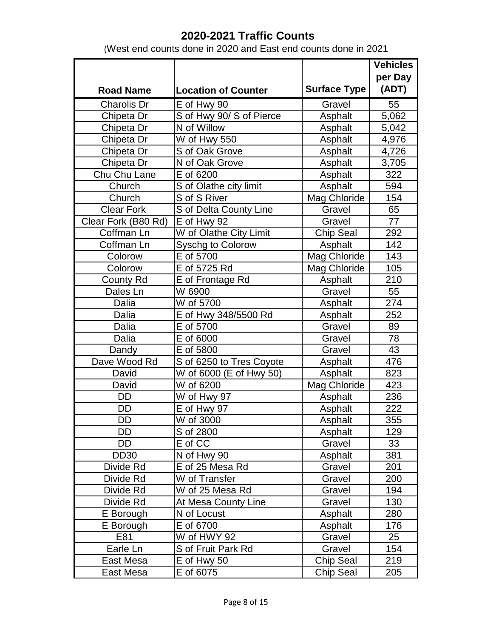|                     |                            |                     | <b>Vehicles</b> |
|---------------------|----------------------------|---------------------|-----------------|
|                     |                            |                     | per Day         |
| <b>Road Name</b>    | <b>Location of Counter</b> | <b>Surface Type</b> | (ADT)           |
| <b>Charolis Dr</b>  | E of Hwy 90                | Gravel              | 55              |
| Chipeta Dr          | S of Hwy 90/ S of Pierce   | Asphalt             | 5,062           |
| Chipeta Dr          | N of Willow                | Asphalt             | 5,042           |
| Chipeta Dr          | W of Hwy 550               | Asphalt             | 4,976           |
| Chipeta Dr          | S of Oak Grove             | Asphalt             | 4,726           |
| Chipeta Dr          | N of Oak Grove             | Asphalt             | 3,705           |
| Chu Chu Lane        | E of 6200                  | Asphalt             | 322             |
| Church              | S of Olathe city limit     | Asphalt             | 594             |
| Church              | S of S River               | Mag Chloride        | 154             |
| <b>Clear Fork</b>   | S of Delta County Line     | Gravel              | 65              |
| Clear Fork (B80 Rd) | E of Hwy 92                | Gravel              | 77              |
| Coffman Ln          | W of Olathe City Limit     | <b>Chip Seal</b>    | 292             |
| Coffman Ln          | Syschg to Colorow          | Asphalt             | 142             |
| Colorow             | E of 5700                  | Mag Chloride        | 143             |
| Colorow             | E of 5725 Rd               | Mag Chloride        | 105             |
| <b>County Rd</b>    | E of Frontage Rd           | Asphalt             | 210             |
| Dales Ln            | W 6900                     | Gravel              | 55              |
| Dalia               | W of 5700                  | Asphalt             | 274             |
| Dalia               | E of Hwy 348/5500 Rd       | Asphalt             | 252             |
| Dalia               | E of 5700                  | Gravel              | 89              |
| Dalia               | E of 6000                  | Gravel              | 78              |
| Dandy               | E of 5800                  | Gravel              | 43              |
| Dave Wood Rd        | S of 6250 to Tres Coyote   | Asphalt             | 476             |
| David               | W of 6000 (E of Hwy 50)    | Asphalt             | 823             |
| David               | W of 6200                  | Mag Chloride        | 423             |
| <b>DD</b>           | W of Hwy 97                | Asphalt             | 236             |
| <b>DD</b>           | E of Hwy 97                | Asphalt             | 222             |
| DD                  | W of 3000                  | Asphalt             | 355             |
| DD                  | S of 2800                  | Asphalt             | 129             |
| <b>DD</b>           | E of CC                    | Gravel              | 33              |
| <b>DD30</b>         | N of Hwy 90                | Asphalt             | 381             |
| Divide Rd           | E of 25 Mesa Rd            | Gravel              | 201             |
| Divide Rd           | W of Transfer              | Gravel              | 200             |
| Divide Rd           | W of 25 Mesa Rd            | Gravel              | 194             |
| Divide Rd           | At Mesa County Line        | Gravel              | 130             |
| E Borough           | N of Locust                | Asphalt             | 280             |
| E Borough           | E of 6700                  | Asphalt             | 176             |
| E81                 | W of HWY 92                | Gravel              | 25              |
| Earle Ln            | S of Fruit Park Rd         | Gravel              | 154             |
| East Mesa           | E of Hwy 50                | Chip Seal           | 219             |
| East Mesa           | E of 6075                  | <b>Chip Seal</b>    | 205             |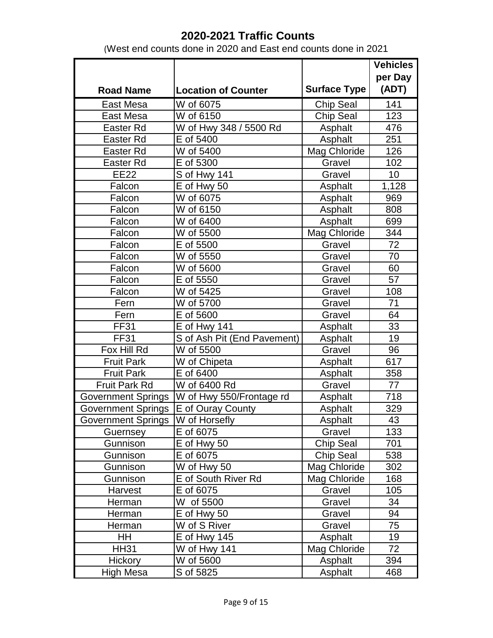|                           |                             |                     | <b>Vehicles</b> |
|---------------------------|-----------------------------|---------------------|-----------------|
|                           |                             |                     | per Day         |
| <b>Road Name</b>          | <b>Location of Counter</b>  | <b>Surface Type</b> | (ADT)           |
| East Mesa                 | W of 6075                   | <b>Chip Seal</b>    | 141             |
| <b>East Mesa</b>          | W of 6150                   | <b>Chip Seal</b>    | 123             |
| Easter Rd                 | W of Hwy 348 / 5500 Rd      | Asphalt             | 476             |
| Easter Rd                 | E of 5400                   | Asphalt             | 251             |
| Easter Rd                 | W of 5400                   | Mag Chloride        | 126             |
| <b>Easter Rd</b>          | E of 5300                   | Gravel              | 102             |
| <b>EE22</b>               | S of Hwy 141                | Gravel              | 10              |
| Falcon                    | E of Hwy 50                 | Asphalt             | 1,128           |
| Falcon                    | W of 6075                   | Asphalt             | 969             |
| Falcon                    | W of 6150                   | Asphalt             | 808             |
| Falcon                    | W of 6400                   | Asphalt             | 699             |
| Falcon                    | W of 5500                   | Mag Chloride        | 344             |
| Falcon                    | E of 5500                   | Gravel              | 72              |
| Falcon                    | W of 5550                   | Gravel              | 70              |
| Falcon                    | W of 5600                   | Gravel              | 60              |
| Falcon                    | E of 5550                   | Gravel              | 57              |
| Falcon                    | W of 5425                   | Gravel              | 108             |
| Fern                      | W of 5700                   | Gravel              | 71              |
| Fern                      | E of 5600                   | Gravel              | 64              |
| <b>FF31</b>               | E of Hwy 141                | Asphalt             | 33              |
| <b>FF31</b>               | S of Ash Pit (End Pavement) | Asphalt             | 19              |
| Fox Hill Rd               | W of 5500                   | Gravel              | 96              |
| <b>Fruit Park</b>         | W of Chipeta                | Asphalt             | 617             |
| <b>Fruit Park</b>         | E of 6400                   | Asphalt             | 358             |
| Fruit Park Rd             | W of 6400 Rd                | Gravel              | 77              |
| <b>Government Springs</b> | W of Hwy 550/Frontage rd    | Asphalt             | 718             |
| <b>Government Springs</b> | E of Ouray County           | Asphalt             | 329             |
| <b>Government Springs</b> | W of Horsefly               | Asphalt             | 43              |
| Guernsey                  | E of 6075                   | Gravel              | 133             |
| Gunnison                  | E of Hwy 50                 | <b>Chip Seal</b>    | 701             |
| Gunnison                  | E of 6075                   | <b>Chip Seal</b>    | 538             |
| Gunnison                  | W of Hwy 50                 | Mag Chloride        | 302             |
| Gunnison                  | E of South River Rd         | Mag Chloride        | 168             |
| Harvest                   | E of 6075                   | Gravel              | 105             |
| Herman                    | W of 5500                   | Gravel              | 34              |
| Herman                    | E of Hwy 50                 | Gravel              | 94              |
| Herman                    | W of S River                | Gravel              | 75              |
| HH.                       | $E$ of Hwy 145              | Asphalt             | 19              |
| <b>HH31</b>               | W of Hwy 141                | Mag Chloride        | 72              |
| Hickory                   | W of 5600                   | Asphalt             | 394             |
| High Mesa                 | S of 5825                   | Asphalt             | 468             |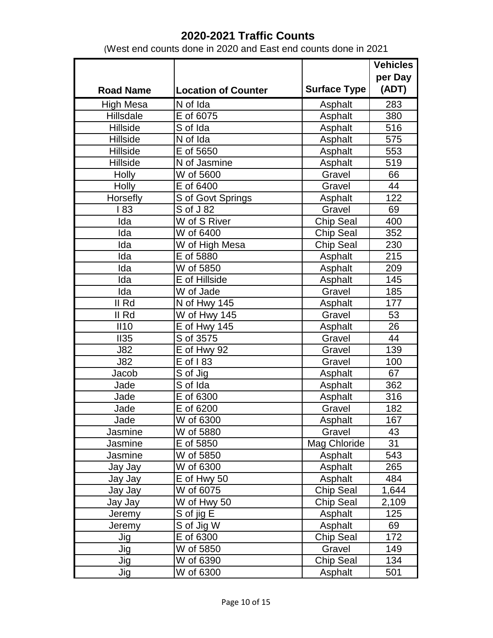|                  |                            |                     | <b>Vehicles</b> |
|------------------|----------------------------|---------------------|-----------------|
|                  |                            |                     | per Day         |
| <b>Road Name</b> | <b>Location of Counter</b> | <b>Surface Type</b> | (ADT)           |
| <b>High Mesa</b> | N of Ida                   | Asphalt             | 283             |
| Hillsdale        | E of 6075                  | Asphalt             | 380             |
| Hillside         | S of Ida                   | Asphalt             | 516             |
| <b>Hillside</b>  | N of Ida                   | Asphalt             | 575             |
| Hillside         | E of 5650                  | Asphalt             | 553             |
| <b>Hillside</b>  | N of Jasmine               | Asphalt             | 519             |
| Holly            | W of 5600                  | Gravel              | 66              |
| Holly            | E of 6400                  | Gravel              | 44              |
| Horsefly         | S of Govt Springs          | Asphalt             | 122             |
| 183              | S of J 82                  | Gravel              | 69              |
| Ida              | W of S River               | <b>Chip Seal</b>    | 400             |
| Ida              | W of 6400                  | <b>Chip Seal</b>    | 352             |
| Ida              | W of High Mesa             | Chip Seal           | 230             |
| Ida              | E of 5880                  | Asphalt             | 215             |
| Ida              | W of 5850                  | Asphalt             | 209             |
| Ida              | E of Hillside              | Asphalt             | 145             |
| Ida              | W of Jade                  | Gravel              | 185             |
| II Rd            | N of Hwy 145               | Asphalt             | 177             |
| II Rd            | W of Hwy 145               | Gravel              | 53              |
| II10             | E of Hwy 145               | Asphalt             | 26              |
| II35             | S of 3575                  | Gravel              | 44              |
| <b>J82</b>       | E of Hwy 92                | Gravel              | 139             |
| <b>J82</b>       | E of 183                   | Gravel              | 100             |
| Jacob            | $\overline{S}$ of Jig      | Asphalt             | 67              |
| Jade             | S of Ida                   | Asphalt             | 362             |
| Jade             | E of 6300                  | Asphalt             | 316             |
| Jade             | E of 6200                  | Gravel              | 182             |
| Jade             | $\overline{W}$ of 6300     | Asphalt             | 167             |
| Jasmine          | W of 5880                  | Gravel              | 43              |
| Jasmine          | E of 5850                  | Mag Chloride        | 31              |
| Jasmine          | W of 5850                  | Asphalt             | 543             |
| Jay Jay          | W of 6300                  | Asphalt             | 265             |
| Jay Jay          | E of Hwy 50                | Asphalt             | 484             |
| Jay Jay          | W of 6075                  | <b>Chip Seal</b>    | 1,644           |
| Jay Jay          | W of Hwy 50                | Chip Seal           | 2,109           |
| Jeremy           | S of jig E                 | Asphalt             | 125             |
| Jeremy           | S of Jig W                 | Asphalt             | 69              |
| Jig              | E of 6300                  | <b>Chip Seal</b>    | 172             |
| Jig              | W of 5850                  | Gravel              | 149             |
| Jig              | W of 6390                  | <b>Chip Seal</b>    | 134             |
| Jig              | W of 6300                  | Asphalt             | 501             |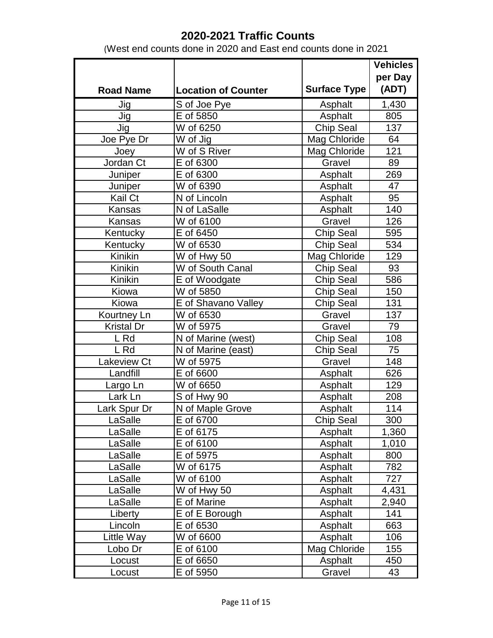|                   |                            |                     | <b>Vehicles</b> |
|-------------------|----------------------------|---------------------|-----------------|
|                   |                            |                     | per Day         |
| <b>Road Name</b>  | <b>Location of Counter</b> | <b>Surface Type</b> | (ADT)           |
| Jig               | S of Joe Pye               | Asphalt             | 1,430           |
| Jig               | E of 5850                  | Asphalt             | 805             |
| Jig               | W of 6250                  | Chip Seal           | 137             |
| Joe Pye Dr        | W of Jig                   | Mag Chloride        | 64              |
| Joey              | W of S River               | Mag Chloride        | 121             |
| Jordan Ct         | E of 6300                  | Gravel              | 89              |
| Juniper           | E of 6300                  | Asphalt             | 269             |
| Juniper           | W of 6390                  | Asphalt             | 47              |
| Kail Ct           | N of Lincoln               | Asphalt             | 95              |
| Kansas            | N of LaSalle               | Asphalt             | 140             |
| Kansas            | W of 6100                  | Gravel              | 126             |
| Kentucky          | E of 6450                  | Chip Seal           | 595             |
| Kentucky          | W of 6530                  | Chip Seal           | 534             |
| Kinikin           | W of Hwy 50                | Mag Chloride        | 129             |
| Kinikin           | W of South Canal           | Chip Seal           | 93              |
| Kinikin           | E of Woodgate              | <b>Chip Seal</b>    | 586             |
| Kiowa             | W of 5850                  | <b>Chip Seal</b>    | 150             |
| Kiowa             | E of Shavano Valley        | <b>Chip Seal</b>    | 131             |
| Kourtney Ln       | W of 6530                  | Gravel              | 137             |
| <b>Kristal Dr</b> | W of 5975                  | Gravel              | 79              |
| L Rd              | N of Marine (west)         | <b>Chip Seal</b>    | 108             |
| L Rd              | N of Marine (east)         | Chip Seal           | 75              |
| Lakeview Ct       | W of 5975                  | Gravel              | 148             |
| Landfill          | E of 6600                  | Asphalt             | 626             |
| Largo Ln          | W of 6650                  | Asphalt             | 129             |
| Lark Ln           | S of Hwy 90                | Asphalt             | 208             |
| Lark Spur Dr      | N of Maple Grove           | Asphalt             | 114             |
| LaSalle           | E of 6700                  | Chip Seal           | 300             |
| LaSalle           | E of 6175                  | Asphalt             | 1,360           |
| LaSalle           | E of 6100                  | Asphalt             | 1,010           |
| LaSalle           | E of 5975                  | Asphalt             | 800             |
| LaSalle           | W of 6175                  | Asphalt             | 782             |
| LaSalle           | W of 6100                  | Asphalt             | 727             |
| LaSalle           | W of Hwy 50                | Asphalt             | 4,431           |
| LaSalle           | E of Marine                | Asphalt             | 2,940           |
| Liberty           | E of E Borough             | Asphalt             | 141             |
| Lincoln           | E of 6530                  | Asphalt             | 663             |
| Little Way        | W of 6600                  | Asphalt             | 106             |
| Lobo Dr           | E of 6100                  | Mag Chloride        | 155             |
| Locust            | E of 6650                  | Asphalt             | 450             |
| Locust            | E of 5950                  | Gravel              | 43              |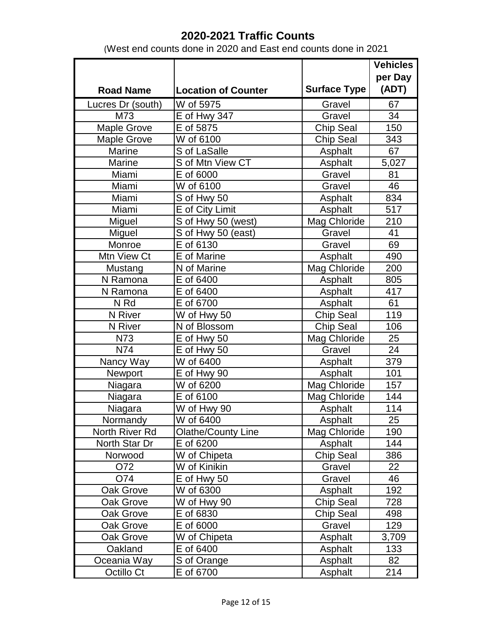|                    |                            |                     | <b>Vehicles</b> |
|--------------------|----------------------------|---------------------|-----------------|
|                    |                            |                     | per Day         |
| <b>Road Name</b>   | <b>Location of Counter</b> | <b>Surface Type</b> | (ADT)           |
| Lucres Dr (south)  | W of 5975                  | Gravel              | 67              |
| M73                | E of Hwy 347               | Gravel              | 34              |
| <b>Maple Grove</b> | E of 5875                  | Chip Seal           | 150             |
| <b>Maple Grove</b> | W of 6100                  | <b>Chip Seal</b>    | 343             |
| Marine             | S of LaSalle               | Asphalt             | 67              |
| Marine             | S of Mtn View CT           | Asphalt             | 5,027           |
| Miami              | E of 6000                  | Gravel              | 81              |
| Miami              | W of 6100                  | Gravel              | 46              |
| Miami              | S of Hwy 50                | Asphalt             | 834             |
| Miami              | E of City Limit            | Asphalt             | 517             |
| Miguel             | S of Hwy 50 (west)         | Mag Chloride        | 210             |
| Miguel             | S of Hwy 50 (east)         | Gravel              | 41              |
| Monroe             | $\overline{E}$ of 6130     | Gravel              | 69              |
| Mtn View Ct        | E of Marine                | Asphalt             | 490             |
| Mustang            | N of Marine                | Mag Chloride        | 200             |
| N Ramona           | E of 6400                  | Asphalt             | 805             |
| N Ramona           | E of 6400                  | Asphalt             | 417             |
| N Rd               | E of 6700                  | Asphalt             | 61              |
| N River            | W of Hwy 50                | Chip Seal           | 119             |
| N River            | $\overline{N}$ of Blossom  | Chip Seal           | 106             |
| N73                | E of Hwy 50                | Mag Chloride        | 25              |
| N74                | E of Hwy 50                | Gravel              | 24              |
| Nancy Way          | W of 6400                  | Asphalt             | 379             |
| Newport            | E of Hwy 90                | Asphalt             | 101             |
| Niagara            | W of 6200                  | Mag Chloride        | 157             |
| Niagara            | E of 6100                  | Mag Chloride        | 144             |
| Niagara            | W of Hwy 90                | Asphalt             | 114             |
| Normandy           | $\overline{W}$ of 6400     | Asphalt             | $\overline{25}$ |
| North River Rd     | <b>Olathe/County Line</b>  | Mag Chloride        | 190             |
| North Star Dr      | E of 6200                  | Asphalt             | 144             |
| Norwood            | W of Chipeta               | <b>Chip Seal</b>    | 386             |
| O72                | W of Kinikin               | Gravel              | 22              |
| O74                | E of Hwy 50                | Gravel              | 46              |
| Oak Grove          | W of 6300                  | Asphalt             | 192             |
| Oak Grove          | W of Hwy 90                | Chip Seal           | 728             |
| Oak Grove          | E of 6830                  | Chip Seal           | 498             |
| Oak Grove          | E of 6000                  | Gravel              | 129             |
| Oak Grove          | W of Chipeta               | Asphalt             | 3,709           |
| Oakland            | E of 6400                  | Asphalt             | 133             |
| Oceania Way        | S of Orange                | Asphalt             | 82              |
| Octillo Ct         | E of 6700                  | Asphalt             | 214             |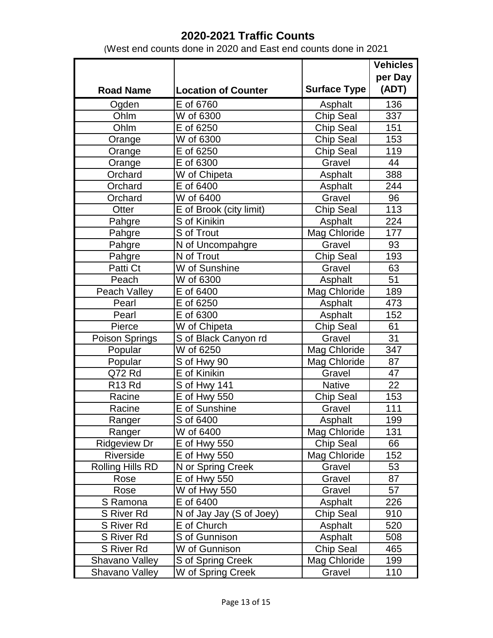|                         |                            |                     | <b>Vehicles</b> |
|-------------------------|----------------------------|---------------------|-----------------|
|                         |                            |                     | per Day         |
| <b>Road Name</b>        | <b>Location of Counter</b> | <b>Surface Type</b> | (ADT)           |
| Ogden                   | E of 6760                  | Asphalt             | 136             |
| Ohlm                    | W of 6300                  | Chip Seal           | 337             |
| Ohlm                    | E of 6250                  | Chip Seal           | 151             |
| Orange                  | W of 6300                  | <b>Chip Seal</b>    | 153             |
| Orange                  | E of 6250                  | <b>Chip Seal</b>    | 119             |
| Orange                  | $\overline{E}$ of 6300     | Gravel              | 44              |
| Orchard                 | W of Chipeta               | Asphalt             | 388             |
| Orchard                 | E of 6400                  | Asphalt             | 244             |
| Orchard                 | W of 6400                  | Gravel              | 96              |
| Otter                   | E of Brook (city limit)    | Chip Seal           | 113             |
| Pahgre                  | S of Kinikin               | Asphalt             | 224             |
| Pahgre                  | S of Trout                 | Mag Chloride        | 177             |
| Pahgre                  | N of Uncompahgre           | Gravel              | 93              |
| Pahgre                  | N of Trout                 | Chip Seal           | 193             |
| Patti Ct                | W of Sunshine              | Gravel              | 63              |
| Peach                   | W of 6300                  | Asphalt             | 51              |
| Peach Valley            | E of 6400                  | Mag Chloride        | 189             |
| Pearl                   | E of 6250                  | Asphalt             | 473             |
| Pearl                   | E of 6300                  | Asphalt             | 152             |
| Pierce                  | W of Chipeta               | Chip Seal           | 61              |
| Poison Springs          | S of Black Canyon rd       | Gravel              | 31              |
| Popular                 | W of 6250                  | Mag Chloride        | 347             |
| Popular                 | S of Hwy 90                | Mag Chloride        | 87              |
| Q72 Rd                  | E of Kinikin               | Gravel              | 47              |
| R <sub>13</sub> Rd      | S of Hwy 141               | <b>Native</b>       | 22              |
| Racine                  | <b>E</b> of Hwy 550        | Chip Seal           | 153             |
| Racine                  | E of Sunshine              | Gravel              | 111             |
| Ranger                  | S of 6400                  | Asphalt             | 199             |
| Ranger                  | W of 6400                  | Mag Chloride        | 131             |
| <b>Ridgeview Dr</b>     | <b>E</b> of Hwy 550        | Chip Seal           | 66              |
| Riverside               | <b>E</b> of Hwy 550        | Mag Chloride        | 152             |
| <b>Rolling Hills RD</b> | N or Spring Creek          | Gravel              | 53              |
| Rose                    | <b>E</b> of Hwy 550        | Gravel              | 87              |
| Rose                    | W of Hwy 550               | Gravel              | 57              |
| S Ramona                | E of 6400                  | Asphalt             | 226             |
| S River Rd              | N of Jay Jay (S of Joey)   | <b>Chip Seal</b>    | 910             |
| S River Rd              | E of Church                | Asphalt             | 520             |
| S River Rd              | S of Gunnison              | Asphalt             | 508             |
| S River Rd              | W of Gunnison              | Chip Seal           | 465             |
| Shavano Valley          | S of Spring Creek          | Mag Chloride        | 199             |
| Shavano Valley          | W of Spring Creek          | Gravel              | 110             |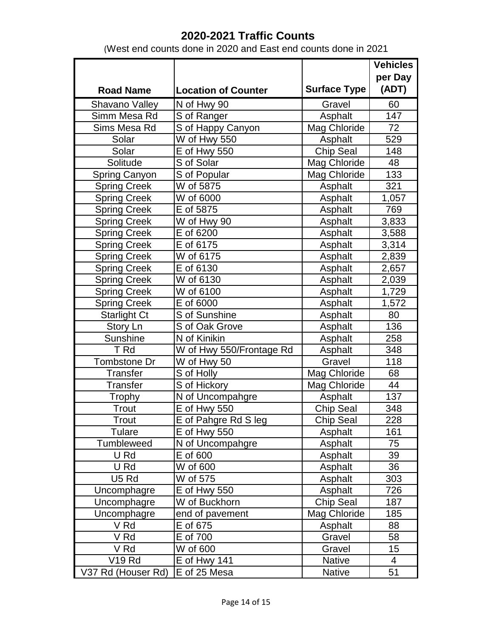|                      |                            |                     | <b>Vehicles</b> |
|----------------------|----------------------------|---------------------|-----------------|
|                      |                            |                     | per Day         |
| <b>Road Name</b>     | <b>Location of Counter</b> | <b>Surface Type</b> | (ADT)           |
| Shavano Valley       | N of Hwy 90                | Gravel              | 60              |
| Simm Mesa Rd         | S of Ranger                | Asphalt             | 147             |
| Sims Mesa Rd         | S of Happy Canyon          | Mag Chloride        | 72              |
| Solar                | W of Hwy 550               | Asphalt             | 529             |
| Solar                | <b>E</b> of Hwy 550        | <b>Chip Seal</b>    | 148             |
| Solitude             | S of Solar                 | Mag Chloride        | 48              |
| <b>Spring Canyon</b> | S of Popular               | Mag Chloride        | 133             |
| <b>Spring Creek</b>  | W of 5875                  | Asphalt             | 321             |
| <b>Spring Creek</b>  | W of 6000                  | Asphalt             | 1,057           |
| <b>Spring Creek</b>  | $\overline{E}$ of 5875     | Asphalt             | 769             |
| <b>Spring Creek</b>  | W of Hwy 90                | Asphalt             | 3,833           |
| <b>Spring Creek</b>  | E of 6200                  | Asphalt             | 3,588           |
| <b>Spring Creek</b>  | E of 6175                  | Asphalt             | 3,314           |
| <b>Spring Creek</b>  | W of 6175                  | Asphalt             | 2,839           |
| <b>Spring Creek</b>  | E of 6130                  | Asphalt             | 2,657           |
| <b>Spring Creek</b>  | W of 6130                  | Asphalt             | 2,039           |
| <b>Spring Creek</b>  | W of 6100                  | Asphalt             | 1,729           |
| <b>Spring Creek</b>  | E of 6000                  | Asphalt             | 1,572           |
| <b>Starlight Ct</b>  | S of Sunshine              | Asphalt             | 80              |
| Story Ln             | S of Oak Grove             | Asphalt             | 136             |
| Sunshine             | N of Kinikin               | Asphalt             | 258             |
| T Rd                 | W of Hwy 550/Frontage Rd   | Asphalt             | 348             |
| Tombstone Dr         | W of Hwy 50                | Gravel              | 118             |
| Transfer             | S of Holly                 | Mag Chloride        | 68              |
| <b>Transfer</b>      | S of Hickory               | Mag Chloride        | 44              |
| Trophy               | N of Uncompahgre           | Asphalt             | 137             |
| Trout                | <b>E</b> of Hwy 550        | Chip Seal           | 348             |
| $\overline{T}$ rout  | E of Pahgre Rd S leg       | <b>Chip Seal</b>    | 228             |
| Tulare               | <b>E</b> of Hwy 550        | Asphalt             | 161             |
| Tumbleweed           | N of Uncompahgre           | Asphalt             | 75              |
| U Rd                 | E of 600                   | Asphalt             | 39              |
| U Rd                 | W of 600                   | Asphalt             | 36              |
| U <sub>5</sub> Rd    | W of 575                   | Asphalt             | 303             |
| Uncomphagre          | E of Hwy 550               | Asphalt             | 726             |
| Uncomphagre          | W of Buckhorn              | <b>Chip Seal</b>    | 187             |
| Uncomphagre          | end of pavement            | Mag Chloride        | 185             |
| V Rd                 | E of 675                   | Asphalt             | 88              |
| V Rd                 | E of 700                   | Gravel              | 58              |
| V Rd                 | W of 600                   | Gravel              | 15              |
| <b>V19 Rd</b>        | E of Hwy 141               | <b>Native</b>       | 4               |
| V37 Rd (Houser Rd)   | E of 25 Mesa               | <b>Native</b>       | 51              |